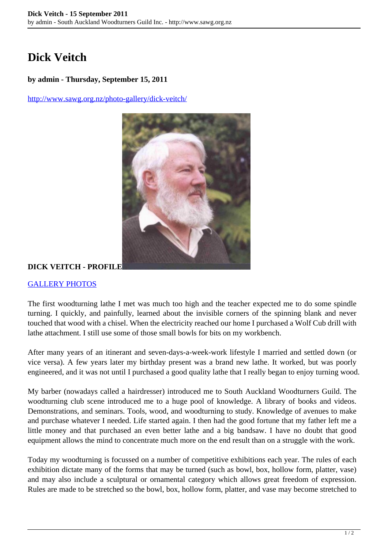# **Dick Veitch**

#### **by admin - Thursday, September 15, 2011**

<http://www.sawg.org.nz/photo-gallery/dick-veitch/>



### **DICK VEITCH - PROFILE**

#### [GALLERY PHOTOS](http://www.sawg.org.nz/wordpress/dick-veitch/dick-veitch-gallery/)

The first woodturning lathe I met was much too high and the teacher expected me to do some spindle turning. I quickly, and painfully, learned about the invisible corners of the spinning blank and never touched that wood with a chisel. When the electricity reached our home I purchased a Wolf Cub drill with lathe attachment. I still use some of those small bowls for bits on my workbench.

After many years of an itinerant and seven-days-a-week-work lifestyle I married and settled down (or vice versa). A few years later my birthday present was a brand new lathe. It worked, but was poorly engineered, and it was not until I purchased a good quality lathe that I really began to enjoy turning wood.

My barber (nowadays called a hairdresser) introduced me to South Auckland Woodturners Guild. The woodturning club scene introduced me to a huge pool of knowledge. A library of books and videos. Demonstrations, and seminars. Tools, wood, and woodturning to study. Knowledge of avenues to make and purchase whatever I needed. Life started again. I then had the good fortune that my father left me a little money and that purchased an even better lathe and a big bandsaw. I have no doubt that good equipment allows the mind to concentrate much more on the end result than on a struggle with the work.

Today my woodturning is focussed on a number of competitive exhibitions each year. The rules of each exhibition dictate many of the forms that may be turned (such as bowl, box, hollow form, platter, vase) and may also include a sculptural or ornamental category which allows great freedom of expression. Rules are made to be stretched so the bowl, box, hollow form, platter, and vase may become stretched to